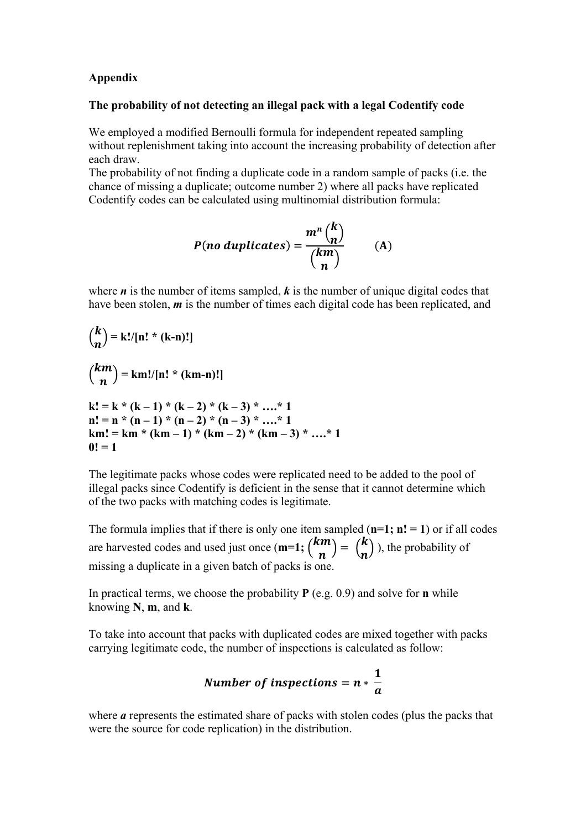## **Appendix**

## **The probability of not detecting an illegal pack with a legal Codentify code**

We employed a modified Bernoulli formula for independent repeated sampling without replenishment taking into account the increasing probability of detection after each draw.

The probability of not finding a duplicate code in a random sample of packs (i.e. the chance of missing a duplicate; outcome number 2) where all packs have replicated Codentify codes can be calculated using multinomial distribution formula:

$$
P(no \, duplicates) = \frac{m^n {k \choose n}}{{km \choose n}}
$$
 (A)

where *n* is the number of items sampled, *k* is the number of unique digital codes that have been stolen, *m* is the number of times each digital code has been replicated, and

$$
\binom{k}{n} = k!/[n! * (k-n)!]
$$
\n
$$
\binom{km}{n} = km!/[n! * (km-n)!]
$$
\n
$$
k! = k * (k-1) * (k-2) * (k-3) * .... * 1
$$
\n
$$
n! = n * (n-1) * (n-2) * (n-3) * .... * 1
$$
\n
$$
km! = km * (km-1) * (km-2) * (km-3) * .... * 1
$$
\n
$$
0! = 1
$$

The legitimate packs whose codes were replicated need to be added to the pool of illegal packs since Codentify is deficient in the sense that it cannot determine which of the two packs with matching codes is legitimate.

The formula implies that if there is only one item sampled  $(n=1; n! = 1)$  or if all codes are harvested codes and used just once  $(m=1; {km \choose n} = {k \choose n})$ , the probability of missing a duplicate in a given batch of packs is one.

In practical terms, we choose the probability **P** (e.g. 0.9) and solve for **n** while knowing **N**, **m**, and **k**.

To take into account that packs with duplicated codes are mixed together with packs carrying legitimate code, the number of inspections is calculated as follow:

Number of inspections = 
$$
n * \frac{1}{a}
$$

where *a* represents the estimated share of packs with stolen codes (plus the packs that were the source for code replication) in the distribution.